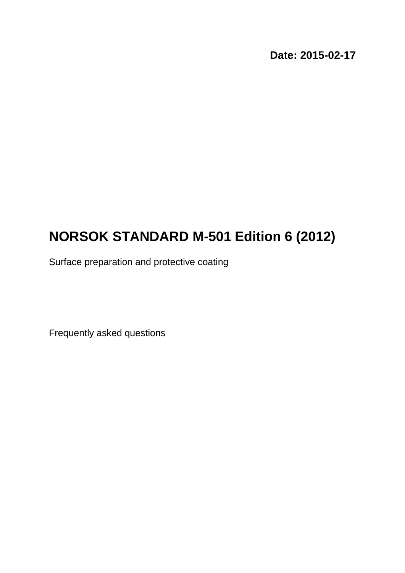**Date: 2015-02-17** 

## **NORSOK STANDARD M-501 Edition 6 (2012)**

Surface preparation and protective coating

Frequently asked questions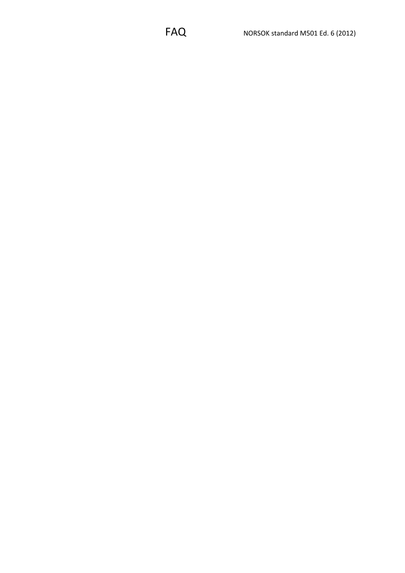FAQ NORSOK standard M501 Ed. 6 (2012)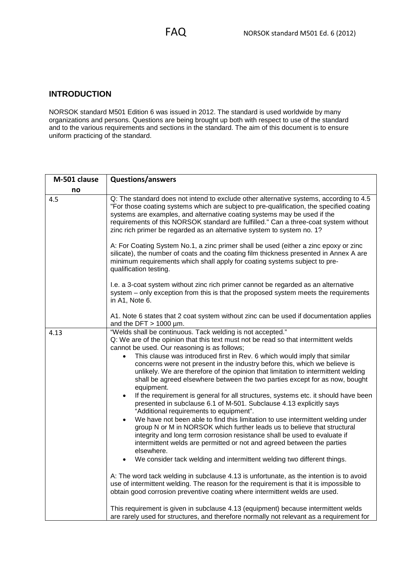## **INTRODUCTION**

NORSOK standard M501 Edition 6 was issued in 2012. The standard is used worldwide by many organizations and persons. Questions are being brought up both with respect to use of the standard and to the various requirements and sections in the standard. The aim of this document is to ensure uniform practicing of the standard.

| M-501 clause | <b>Questions/answers</b>                                                                                                                                                                                                                                                                                                                                                                                                                                                                                                                                                                                                                                                                                                                                                                                                                                                                                                                                                                                                                                                                                                                                                                                                                                                                                                                                                                                                                                                                                                                                   |
|--------------|------------------------------------------------------------------------------------------------------------------------------------------------------------------------------------------------------------------------------------------------------------------------------------------------------------------------------------------------------------------------------------------------------------------------------------------------------------------------------------------------------------------------------------------------------------------------------------------------------------------------------------------------------------------------------------------------------------------------------------------------------------------------------------------------------------------------------------------------------------------------------------------------------------------------------------------------------------------------------------------------------------------------------------------------------------------------------------------------------------------------------------------------------------------------------------------------------------------------------------------------------------------------------------------------------------------------------------------------------------------------------------------------------------------------------------------------------------------------------------------------------------------------------------------------------------|
| no           |                                                                                                                                                                                                                                                                                                                                                                                                                                                                                                                                                                                                                                                                                                                                                                                                                                                                                                                                                                                                                                                                                                                                                                                                                                                                                                                                                                                                                                                                                                                                                            |
| 4.5          | Q: The standard does not intend to exclude other alternative systems, according to 4.5<br>"For those coating systems which are subject to pre-qualification, the specified coating<br>systems are examples, and alternative coating systems may be used if the<br>requirements of this NORSOK standard are fulfilled." Can a three-coat system without<br>zinc rich primer be regarded as an alternative system to system no. 1?                                                                                                                                                                                                                                                                                                                                                                                                                                                                                                                                                                                                                                                                                                                                                                                                                                                                                                                                                                                                                                                                                                                           |
|              | A: For Coating System No.1, a zinc primer shall be used (either a zinc epoxy or zinc<br>silicate), the number of coats and the coating film thickness presented in Annex A are<br>minimum requirements which shall apply for coating systems subject to pre-<br>qualification testing.                                                                                                                                                                                                                                                                                                                                                                                                                                                                                                                                                                                                                                                                                                                                                                                                                                                                                                                                                                                                                                                                                                                                                                                                                                                                     |
|              | I.e. a 3-coat system without zinc rich primer cannot be regarded as an alternative<br>system – only exception from this is that the proposed system meets the requirements<br>in A1, Note 6.                                                                                                                                                                                                                                                                                                                                                                                                                                                                                                                                                                                                                                                                                                                                                                                                                                                                                                                                                                                                                                                                                                                                                                                                                                                                                                                                                               |
|              | A1. Note 6 states that 2 coat system without zinc can be used if documentation applies<br>and the DFT $> 1000$ µm.                                                                                                                                                                                                                                                                                                                                                                                                                                                                                                                                                                                                                                                                                                                                                                                                                                                                                                                                                                                                                                                                                                                                                                                                                                                                                                                                                                                                                                         |
| 4.13         | "Welds shall be continuous. Tack welding is not accepted."<br>Q: We are of the opinion that this text must not be read so that intermittent welds<br>cannot be used. Our reasoning is as follows;<br>This clause was introduced first in Rev. 6 which would imply that similar<br>$\bullet$<br>concerns were not present in the industry before this, which we believe is<br>unlikely. We are therefore of the opinion that limitation to intermittent welding<br>shall be agreed elsewhere between the two parties except for as now, bought<br>equipment.<br>If the requirement is general for all structures, systems etc. it should have been<br>$\bullet$<br>presented in subclause 6.1 of M-501. Subclause 4.13 explicitly says<br>"Additional requirements to equipment".<br>We have not been able to find this limitation to use intermittent welding under<br>group N or M in NORSOK which further leads us to believe that structural<br>integrity and long term corrosion resistance shall be used to evaluate if<br>intermittent welds are permitted or not and agreed between the parties<br>elsewhere.<br>We consider tack welding and intermittent welding two different things.<br>A: The word tack welding in subclause 4.13 is unfortunate, as the intention is to avoid<br>use of intermittent welding. The reason for the requirement is that it is impossible to<br>obtain good corrosion preventive coating where intermittent welds are used.<br>This requirement is given in subclause 4.13 (equipment) because intermittent welds |
|              | are rarely used for structures, and therefore normally not relevant as a requirement for                                                                                                                                                                                                                                                                                                                                                                                                                                                                                                                                                                                                                                                                                                                                                                                                                                                                                                                                                                                                                                                                                                                                                                                                                                                                                                                                                                                                                                                                   |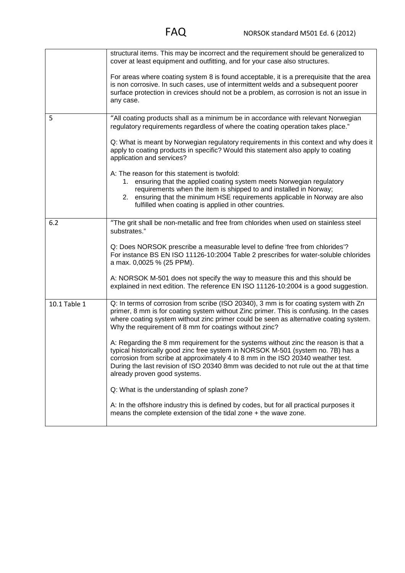|              | structural items. This may be incorrect and the requirement should be generalized to<br>cover at least equipment and outfitting, and for your case also structures.                                                                                                                                                                                                                  |
|--------------|--------------------------------------------------------------------------------------------------------------------------------------------------------------------------------------------------------------------------------------------------------------------------------------------------------------------------------------------------------------------------------------|
|              | For areas where coating system 8 is found acceptable, it is a prerequisite that the area<br>is non corrosive. In such cases, use of intermittent welds and a subsequent poorer<br>surface protection in crevices should not be a problem, as corrosion is not an issue in<br>any case.                                                                                               |
| 5            | "All coating products shall as a minimum be in accordance with relevant Norwegian<br>regulatory requirements regardless of where the coating operation takes place."                                                                                                                                                                                                                 |
|              | Q: What is meant by Norwegian regulatory requirements in this context and why does it<br>apply to coating products in specific? Would this statement also apply to coating<br>application and services?                                                                                                                                                                              |
|              | A: The reason for this statement is twofold:<br>1. ensuring that the applied coating system meets Norwegian regulatory<br>requirements when the item is shipped to and installed in Norway;<br>2. ensuring that the minimum HSE requirements applicable in Norway are also<br>fulfilled when coating is applied in other countries.                                                  |
| 6.2          | "The grit shall be non-metallic and free from chlorides when used on stainless steel<br>substrates."                                                                                                                                                                                                                                                                                 |
|              | Q: Does NORSOK prescribe a measurable level to define 'free from chlorides'?<br>For instance BS EN ISO 11126-10:2004 Table 2 prescribes for water-soluble chlorides<br>a max. 0,0025 % (25 PPM).                                                                                                                                                                                     |
|              | A: NORSOK M-501 does not specify the way to measure this and this should be<br>explained in next edition. The reference EN ISO 11126-10:2004 is a good suggestion.                                                                                                                                                                                                                   |
| 10.1 Table 1 | Q: In terms of corrosion from scribe (ISO 20340), 3 mm is for coating system with Zn<br>primer, 8 mm is for coating system without Zinc primer. This is confusing. In the cases<br>where coating system without zinc primer could be seen as alternative coating system.<br>Why the requirement of 8 mm for coatings without zinc?                                                   |
|              | A: Regarding the 8 mm requirement for the systems without zinc the reason is that a<br>typical historically good zinc free system in NORSOK M-501 (system no. 7B) has a<br>corrosion from scribe at approximately 4 to 8 mm in the ISO 20340 weather test.<br>During the last revision of ISO 20340 8mm was decided to not rule out the at that time<br>already proven good systems. |
|              | Q: What is the understanding of splash zone?                                                                                                                                                                                                                                                                                                                                         |
|              | A: In the offshore industry this is defined by codes, but for all practical purposes it<br>means the complete extension of the tidal zone + the wave zone.                                                                                                                                                                                                                           |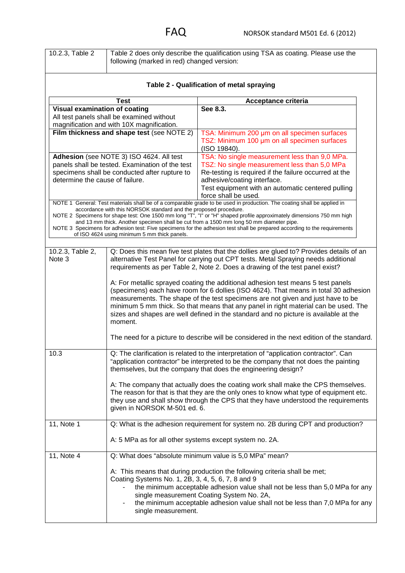| 10.2.3, Table 2                                                                                                                                                                                                                                                                                                      | following (marked in red) changed version:                               | Table 2 does only describe the qualification using TSA as coating. Please use the                                                                                                                                                                                                                                                                                                                                                          |  |  |
|----------------------------------------------------------------------------------------------------------------------------------------------------------------------------------------------------------------------------------------------------------------------------------------------------------------------|--------------------------------------------------------------------------|--------------------------------------------------------------------------------------------------------------------------------------------------------------------------------------------------------------------------------------------------------------------------------------------------------------------------------------------------------------------------------------------------------------------------------------------|--|--|
|                                                                                                                                                                                                                                                                                                                      |                                                                          |                                                                                                                                                                                                                                                                                                                                                                                                                                            |  |  |
| Table 2 - Qualification of metal spraying                                                                                                                                                                                                                                                                            |                                                                          |                                                                                                                                                                                                                                                                                                                                                                                                                                            |  |  |
|                                                                                                                                                                                                                                                                                                                      | Test                                                                     | Acceptance criteria                                                                                                                                                                                                                                                                                                                                                                                                                        |  |  |
| <b>Visual examination of coating</b>                                                                                                                                                                                                                                                                                 |                                                                          | See 8.3.                                                                                                                                                                                                                                                                                                                                                                                                                                   |  |  |
| All test panels shall be examined without                                                                                                                                                                                                                                                                            |                                                                          |                                                                                                                                                                                                                                                                                                                                                                                                                                            |  |  |
| magnification and with 10X magnification.                                                                                                                                                                                                                                                                            |                                                                          |                                                                                                                                                                                                                                                                                                                                                                                                                                            |  |  |
| Film thickness and shape test (see NOTE 2)                                                                                                                                                                                                                                                                           |                                                                          | TSA: Minimum 200 µm on all specimen surfaces<br>TSZ: Minimum 100 µm on all specimen surfaces<br>(ISO 19840).                                                                                                                                                                                                                                                                                                                               |  |  |
|                                                                                                                                                                                                                                                                                                                      | Adhesion (see NOTE 3) ISO 4624. All test                                 | TSA: No single measurement less than 9,0 MPa.                                                                                                                                                                                                                                                                                                                                                                                              |  |  |
|                                                                                                                                                                                                                                                                                                                      | panels shall be tested. Examination of the test                          | TSZ: No single measurement less than 5,0 MPa                                                                                                                                                                                                                                                                                                                                                                                               |  |  |
| specimens shall be conducted after rupture to<br>determine the cause of failure.                                                                                                                                                                                                                                     |                                                                          | Re-testing is required if the failure occurred at the<br>adhesive/coating interface.                                                                                                                                                                                                                                                                                                                                                       |  |  |
|                                                                                                                                                                                                                                                                                                                      |                                                                          | Test equipment with an automatic centered pulling                                                                                                                                                                                                                                                                                                                                                                                          |  |  |
|                                                                                                                                                                                                                                                                                                                      |                                                                          | force shall be used.                                                                                                                                                                                                                                                                                                                                                                                                                       |  |  |
| NOTE 1 General: Test materials shall be of a comparable grade to be used in production. The coating shall be applied in<br>accordance with this NORSOK standard and the proposed procedure.<br>NOTE 2 Specimens for shape test: One 1500 mm long "T", "I" or "H" shaped profile approximately dimensions 750 mm high |                                                                          |                                                                                                                                                                                                                                                                                                                                                                                                                                            |  |  |
| and 13 mm thick. Another specimen shall be cut from a 1500 mm long 50 mm diameter pipe.<br>NOTE 3 Specimens for adhesion test: Five specimens for the adhesion test shall be prepared according to the requirements<br>of ISO 4624 using minimum 5 mm thick panels.                                                  |                                                                          |                                                                                                                                                                                                                                                                                                                                                                                                                                            |  |  |
|                                                                                                                                                                                                                                                                                                                      |                                                                          |                                                                                                                                                                                                                                                                                                                                                                                                                                            |  |  |
| 10.2.3, Table 2,<br>Note 3                                                                                                                                                                                                                                                                                           |                                                                          | Q: Does this mean five test plates that the dollies are glued to? Provides details of an<br>alternative Test Panel for carrying out CPT tests. Metal Spraying needs additional<br>requirements as per Table 2, Note 2. Does a drawing of the test panel exist?                                                                                                                                                                             |  |  |
|                                                                                                                                                                                                                                                                                                                      | moment.                                                                  | A: For metallic sprayed coating the additional adhesion test means 5 test panels<br>(specimens) each have room for 6 dollies (ISO 4624). That means in total 30 adhesion<br>measurements. The shape of the test specimens are not given and just have to be<br>minimum 5 mm thick. So that means that any panel in right material can be used. The<br>sizes and shapes are well defined in the standard and no picture is available at the |  |  |
|                                                                                                                                                                                                                                                                                                                      |                                                                          | The need for a picture to describe will be considered in the next edition of the standard.                                                                                                                                                                                                                                                                                                                                                 |  |  |
| 10.3                                                                                                                                                                                                                                                                                                                 |                                                                          | Q: The clarification is related to the interpretation of "application contractor". Can<br>"application contractor" be interpreted to be the company that not does the painting<br>themselves, but the company that does the engineering design?                                                                                                                                                                                            |  |  |
|                                                                                                                                                                                                                                                                                                                      | given in NORSOK M-501 ed. 6.                                             | A: The company that actually does the coating work shall make the CPS themselves.<br>The reason for that is that they are the only ones to know what type of equipment etc.<br>they use and shall show through the CPS that they have understood the requirements                                                                                                                                                                          |  |  |
| 11, Note 1                                                                                                                                                                                                                                                                                                           |                                                                          | Q: What is the adhesion requirement for system no. 2B during CPT and production?                                                                                                                                                                                                                                                                                                                                                           |  |  |
|                                                                                                                                                                                                                                                                                                                      | A: 5 MPa as for all other systems except system no. 2A.                  |                                                                                                                                                                                                                                                                                                                                                                                                                                            |  |  |
| 11, Note 4                                                                                                                                                                                                                                                                                                           |                                                                          | Q: What does "absolute minimum value is 5,0 MPa" mean?                                                                                                                                                                                                                                                                                                                                                                                     |  |  |
|                                                                                                                                                                                                                                                                                                                      | Coating Systems No. 1, 2B, 3, 4, 5, 6, 7, 8 and 9<br>single measurement. | A: This means that during production the following criteria shall be met;<br>the minimum acceptable adhesion value shall not be less than 5,0 MPa for any<br>single measurement Coating System No. 2A,<br>the minimum acceptable adhesion value shall not be less than 7,0 MPa for any                                                                                                                                                     |  |  |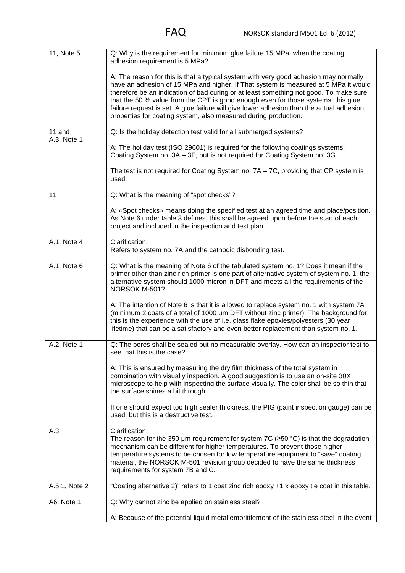| 11, Note 5    | Q: Why is the requirement for minimum glue failure 15 MPa, when the coating<br>adhesion requirement is 5 MPa?                                                                                                                                                                                                                                                                                                                                                                                                            |
|---------------|--------------------------------------------------------------------------------------------------------------------------------------------------------------------------------------------------------------------------------------------------------------------------------------------------------------------------------------------------------------------------------------------------------------------------------------------------------------------------------------------------------------------------|
|               | A: The reason for this is that a typical system with very good adhesion may normally<br>have an adhesion of 15 MPa and higher. If That system is measured at 5 MPa it would<br>therefore be an indication of bad curing or at least something not good. To make sure<br>that the 50 % value from the CPT is good enough even for those systems, this glue<br>failure request is set. A glue failure will give lower adhesion than the actual adhesion<br>properties for coating system, also measured during production. |
| 11 and        | Q: Is the holiday detection test valid for all submerged systems?                                                                                                                                                                                                                                                                                                                                                                                                                                                        |
| A.3, Note 1   | A: The holiday test (ISO 29601) is required for the following coatings systems:<br>Coating System no. 3A - 3F, but is not required for Coating System no. 3G.                                                                                                                                                                                                                                                                                                                                                            |
|               | The test is not required for Coating System no. $7A - 7C$ , providing that CP system is<br>used.                                                                                                                                                                                                                                                                                                                                                                                                                         |
| 11            | Q: What is the meaning of "spot checks"?                                                                                                                                                                                                                                                                                                                                                                                                                                                                                 |
|               | A: «Spot checks» means doing the specified test at an agreed time and place/position.<br>As Note 6 under table 3 defines, this shall be agreed upon before the start of each<br>project and included in the inspection and test plan.                                                                                                                                                                                                                                                                                    |
| A.1, Note 4   | Clarification:<br>Refers to system no. 7A and the cathodic disbonding test.                                                                                                                                                                                                                                                                                                                                                                                                                                              |
| A.1, Note 6   | Q: What is the meaning of Note 6 of the tabulated system no. 1? Does it mean if the<br>primer other than zinc rich primer is one part of alternative system of system no. 1, the<br>alternative system should 1000 micron in DFT and meets all the requirements of the<br>NORSOK M-501?                                                                                                                                                                                                                                  |
|               | A: The intention of Note 6 is that it is allowed to replace system no. 1 with system 7A<br>(minimum 2 coats of a total of 1000 µm DFT without zinc primer). The background for<br>this is the experience with the use of i.e. glass flake epoxies/polyesters (30 year<br>lifetime) that can be a satisfactory and even better replacement than system no. 1.                                                                                                                                                             |
| A.2, Note 1   | Q: The pores shall be sealed but no measurable overlay. How can an inspector test to<br>see that this is the case?                                                                                                                                                                                                                                                                                                                                                                                                       |
|               | A: This is ensured by measuring the dry film thickness of the total system in<br>combination with visually inspection. A good suggestion is to use an on-site 30X<br>microscope to help with inspecting the surface visually. The color shall be so thin that<br>the surface shines a bit through.                                                                                                                                                                                                                       |
|               | If one should expect too high sealer thickness, the PIG (paint inspection gauge) can be<br>used, but this is a destructive test.                                                                                                                                                                                                                                                                                                                                                                                         |
| A.3           | Clarification:<br>The reason for the 350 µm requirement for system 7C ( $\geq$ 50 °C) is that the degradation<br>mechanism can be different for higher temperatures. To prevent those higher<br>temperature systems to be chosen for low temperature equipment to "save" coating<br>material, the NORSOK M-501 revision group decided to have the same thickness<br>requirements for system 7B and C.                                                                                                                    |
| A.5.1, Note 2 | "Coating alternative 2)" refers to 1 coat zinc rich epoxy +1 x epoxy tie coat in this table.                                                                                                                                                                                                                                                                                                                                                                                                                             |
| A6, Note 1    | Q: Why cannot zinc be applied on stainless steel?                                                                                                                                                                                                                                                                                                                                                                                                                                                                        |
|               | A: Because of the potential liquid metal embrittlement of the stainless steel in the event                                                                                                                                                                                                                                                                                                                                                                                                                               |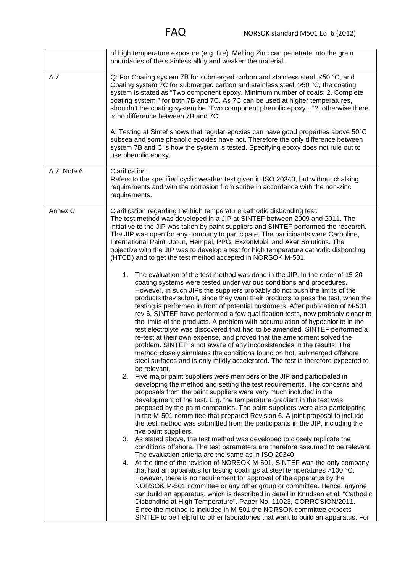|             | of high temperature exposure (e.g. fire). Melting Zinc can penetrate into the grain<br>boundaries of the stainless alloy and weaken the material.                                                                                                                                                                                                                                                                                                                                                                                                                                                                                                                                                                                                                                                                                                                                                                                                                                                                                                                                                                                                                                                                                                                                                                                                                                                                                                                                                                                                                                                                                                                                                                                                                                                                                                                                                                                                                                                                                                                                                                                                                                                                                                                                         |
|-------------|-------------------------------------------------------------------------------------------------------------------------------------------------------------------------------------------------------------------------------------------------------------------------------------------------------------------------------------------------------------------------------------------------------------------------------------------------------------------------------------------------------------------------------------------------------------------------------------------------------------------------------------------------------------------------------------------------------------------------------------------------------------------------------------------------------------------------------------------------------------------------------------------------------------------------------------------------------------------------------------------------------------------------------------------------------------------------------------------------------------------------------------------------------------------------------------------------------------------------------------------------------------------------------------------------------------------------------------------------------------------------------------------------------------------------------------------------------------------------------------------------------------------------------------------------------------------------------------------------------------------------------------------------------------------------------------------------------------------------------------------------------------------------------------------------------------------------------------------------------------------------------------------------------------------------------------------------------------------------------------------------------------------------------------------------------------------------------------------------------------------------------------------------------------------------------------------------------------------------------------------------------------------------------------------|
| A.7         | Q: For Coating system 7B for submerged carbon and stainless steel , ≤50 °C, and<br>Coating system 7C for submerged carbon and stainless steel, >50 °C, the coating<br>system is stated as "Two component epoxy. Minimum number of coats: 2. Complete<br>coating system:" for both 7B and 7C. As 7C can be used at higher temperatures,<br>shouldn't the coating system be "Two component phenolic epoxy"?, otherwise there<br>is no difference between 7B and 7C.<br>A: Testing at Sintef shows that regular epoxies can have good properties above 50°C<br>subsea and some phenolic epoxies have not. Therefore the only difference between<br>system 7B and C is how the system is tested. Specifying epoxy does not rule out to<br>use phenolic epoxy.                                                                                                                                                                                                                                                                                                                                                                                                                                                                                                                                                                                                                                                                                                                                                                                                                                                                                                                                                                                                                                                                                                                                                                                                                                                                                                                                                                                                                                                                                                                                 |
| A.7, Note 6 | Clarification:<br>Refers to the specified cyclic weather test given in ISO 20340, but without chalking<br>requirements and with the corrosion from scribe in accordance with the non-zinc<br>requirements.                                                                                                                                                                                                                                                                                                                                                                                                                                                                                                                                                                                                                                                                                                                                                                                                                                                                                                                                                                                                                                                                                                                                                                                                                                                                                                                                                                                                                                                                                                                                                                                                                                                                                                                                                                                                                                                                                                                                                                                                                                                                                |
| Annex C     | Clarification regarding the high temperature cathodic disbonding test:<br>The test method was developed in a JIP at SINTEF between 2009 and 2011. The<br>initiative to the JIP was taken by paint suppliers and SINTEF performed the research.<br>The JIP was open for any company to participate. The participants were Carboline,<br>International Paint, Jotun, Hempel, PPG, ExxonMobil and Aker Solutions. The<br>objective with the JIP was to develop a test for high temperature cathodic disbonding<br>(HTCD) and to get the test method accepted in NORSOK M-501.                                                                                                                                                                                                                                                                                                                                                                                                                                                                                                                                                                                                                                                                                                                                                                                                                                                                                                                                                                                                                                                                                                                                                                                                                                                                                                                                                                                                                                                                                                                                                                                                                                                                                                                |
|             | 1. The evaluation of the test method was done in the JIP. In the order of 15-20<br>coating systems were tested under various conditions and procedures.<br>However, in such JIPs the suppliers probably do not push the limits of the<br>products they submit, since they want their products to pass the test, when the<br>testing is performed in front of potential customers. After publication of M-501<br>rev 6, SINTEF have performed a few qualification tests, now probably closer to<br>the limits of the products. A problem with accumulation of hypochlorite in the<br>test electrolyte was discovered that had to be amended. SINTEF performed a<br>re-test at their own expense, and proved that the amendment solved the<br>problem. SINTEF is not aware of any inconsistencies in the results. The<br>method closely simulates the conditions found on hot, submerged offshore<br>steel surfaces and is only mildly accelerated. The test is therefore expected to<br>be relevant.<br>Five major paint suppliers were members of the JIP and participated in<br>2.<br>developing the method and setting the test requirements. The concerns and<br>proposals from the paint suppliers were very much included in the<br>development of the test. E.g. the temperature gradient in the test was<br>proposed by the paint companies. The paint suppliers were also participating<br>in the M-501 committee that prepared Revision 6. A joint proposal to include<br>the test method was submitted from the participants in the JIP, including the<br>five paint suppliers.<br>3. As stated above, the test method was developed to closely replicate the<br>conditions offshore. The test parameters are therefore assumed to be relevant.<br>The evaluation criteria are the same as in ISO 20340.<br>4. At the time of the revision of NORSOK M-501, SINTEF was the only company<br>that had an apparatus for testing coatings at steel temperatures >100 °C.<br>However, there is no requirement for approval of the apparatus by the<br>NORSOK M-501 committee or any other group or committee. Hence, anyone<br>can build an apparatus, which is described in detail in Knudsen et al: "Cathodic<br>Disbonding at High Temperature". Paper No. 11023, CORROSION/2011. |
|             | Since the method is included in M-501 the NORSOK committee expects<br>SINTEF to be helpful to other laboratories that want to build an apparatus. For                                                                                                                                                                                                                                                                                                                                                                                                                                                                                                                                                                                                                                                                                                                                                                                                                                                                                                                                                                                                                                                                                                                                                                                                                                                                                                                                                                                                                                                                                                                                                                                                                                                                                                                                                                                                                                                                                                                                                                                                                                                                                                                                     |